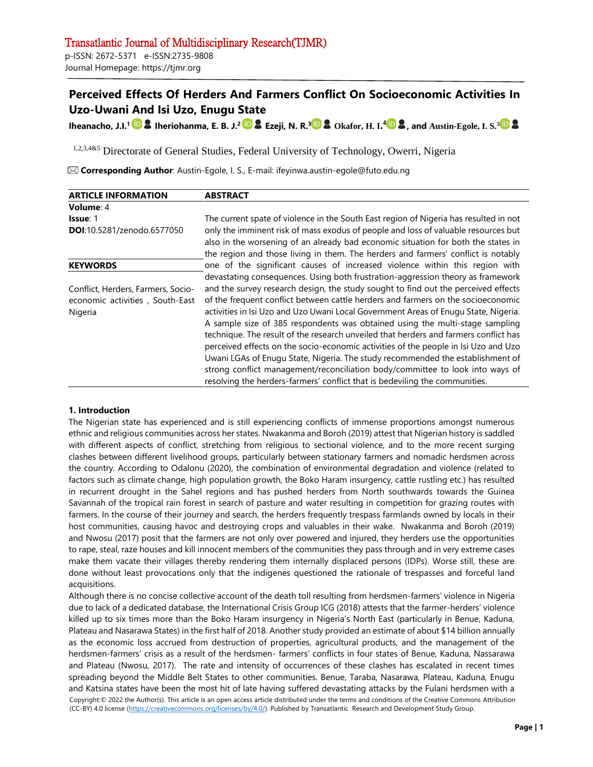Journal Homepage: https://tjmr.org

# **Perceived Effects Of Herders And Farmers Conflict On Socioeconomic Activities In Uzo-Uwani And Isi Uzo, Enugu State**

**Iheanacho, J.I. 1 Iheriohanma, E. B. J.<sup>2</sup> Ezeji, N. R.<sup>3</sup> Okafor, H. I. 4 , and Austin-Egole, I. S.<sup>5</sup>**

1,2,3,4&5 Directorate of General Studies, Federal University of Technology, Owerri, Nigeria

**Corresponding Author**: Austin-Egole, I. S., E-mail: ifeyinwa.austin-egole@futo.edu.ng

| <b>ARTICLE INFORMATION</b>                                                                                               | <b>ABSTRACT</b>                                                                       |  |  |
|--------------------------------------------------------------------------------------------------------------------------|---------------------------------------------------------------------------------------|--|--|
| Volume: 4                                                                                                                |                                                                                       |  |  |
| <b>Issue: 1</b>                                                                                                          | The current spate of violence in the South East region of Nigeria has resulted in not |  |  |
| <b>DOI:</b> 10.5281/zenodo.6577050                                                                                       | only the imminent risk of mass exodus of people and loss of valuable resources but    |  |  |
|                                                                                                                          | also in the worsening of an already bad economic situation for both the states in     |  |  |
|                                                                                                                          | the region and those living in them. The herders and farmers' conflict is notably     |  |  |
| <b>KEYWORDS</b>                                                                                                          | one of the significant causes of increased violence within this region with           |  |  |
|                                                                                                                          | devastating consequences. Using both frustration-aggression theory as framework       |  |  |
| and the survey research design, the study sought to find out the perceived effects<br>Conflict, Herders, Farmers, Socio- |                                                                                       |  |  |
| of the frequent conflict between cattle herders and farmers on the socioeconomic<br>economic activities, South-East      |                                                                                       |  |  |
| Nigeria                                                                                                                  | activities in Isi Uzo and Uzo Uwani Local Government Areas of Enugu State, Nigeria.   |  |  |
|                                                                                                                          | A sample size of 385 respondents was obtained using the multi-stage sampling          |  |  |
|                                                                                                                          | technique. The result of the research unveiled that herders and farmers conflict has  |  |  |
|                                                                                                                          | perceived effects on the socio-economic activities of the people in Isi Uzo and Uzo   |  |  |
|                                                                                                                          | Uwani LGAs of Enugu State, Nigeria. The study recommended the establishment of        |  |  |
|                                                                                                                          | strong conflict management/reconciliation body/committee to look into ways of         |  |  |
|                                                                                                                          | resolving the herders-farmers' conflict that is bedeviling the communities.           |  |  |

# **1. Introduction**

The Nigerian state has experienced and is still experiencing conflicts of immense proportions amongst numerous ethnic and religious communities across her states. Nwakanma and Boroh (2019) attest that Nigerian history is saddled with different aspects of conflict, stretching from religious to sectional violence, and to the more recent surging clashes between different livelihood groups, particularly between stationary farmers and nomadic herdsmen across the country. According to Odalonu (2020), the combination of environmental degradation and violence (related to factors such as climate change, high population growth, the Boko Haram insurgency, cattle rustling etc.) has resulted in recurrent drought in the Sahel regions and has pushed herders from North southwards towards the Guinea Savannah of the tropical rain forest in search of pasture and water resulting in competition for grazing routes with farmers. In the course of their journey and search, the herders frequently trespass farmlands owned by locals in their host communities, causing havoc and destroying crops and valuables in their wake. Nwakanma and Boroh (2019) and Nwosu (2017) posit that the farmers are not only over powered and injured, they herders use the opportunities to rape, steal, raze houses and kill innocent members of the communities they pass through and in very extreme cases make them vacate their villages thereby rendering them internally displaced persons (IDPs). Worse still, these are done without least provocations only that the indigenes questioned the rationale of trespasses and forceful land acquisitions.

Copyright:© 2022 the Author(s). This article is an open access article distributed under the terms and conditions of the Creative Commons Attribution (CC-BY) 4.0 license [\(https://creativecommons.org/licenses/by/4.0/\).](https://creativecommons.org/licenses/by/4.0/) Published by Transatlantic Research and Development Study Group. Although there is no concise collective account of the death toll resulting from herdsmen-farmers' violence in Nigeria due to lack of a dedicated database, the International Crisis Group ICG (2018) attests that the farmer-herders' violence killed up to six times more than the Boko Haram insurgency in Nigeria's North East (particularly in Benue, Kaduna, Plateau and Nasarawa States) in the first half of 2018. Another study provided an estimate of about \$14 billion annually as the economic loss accrued from destruction of properties, agricultural products, and the management of the herdsmen-farmers' crisis as a result of the herdsmen- farmers' conflicts in four states of Benue, Kaduna, Nassarawa and Plateau (Nwosu, 2017). The rate and intensity of occurrences of these clashes has escalated in recent times spreading beyond the Middle Belt States to other communities. Benue, Taraba, Nasarawa, Plateau, Kaduna, Enugu and Katsina states have been the most hit of late having suffered devastating attacks by the Fulani herdsmen with a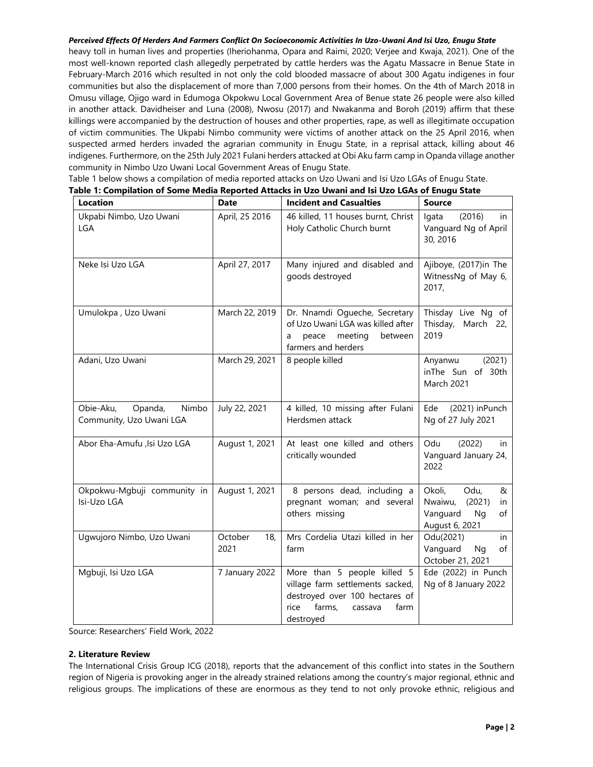heavy toll in human lives and properties (Iheriohanma, Opara and Raimi, 2020; Verjee and Kwaja, 2021). One of the most well-known reported clash allegedly perpetrated by cattle herders was the Agatu Massacre in Benue State in February-March 2016 which resulted in not only the cold blooded massacre of about 300 Agatu indigenes in four communities but also the displacement of more than 7,000 persons from their homes. On the 4th of March 2018 in Omusu village, Ojigo ward in Edumoga Okpokwu Local Government Area of Benue state 26 people were also killed in another attack. Davidheiser and Luna (2008), Nwosu (2017) and Nwakanma and Boroh (2019) affirm that these killings were accompanied by the destruction of houses and other properties, rape, as well as illegitimate occupation of victim communities. The Ukpabi Nimbo community were victims of another attack on the 25 April 2016, when suspected armed herders invaded the agrarian community in Enugu State, in a reprisal attack, killing about 46 indigenes. Furthermore, on the 25th July 2021 Fulani herders attacked at Obi Aku farm camp in Opanda village another community in Nimbo Uzo Uwani Local Government Areas of Enugu State.

Table 1 below shows a compilation of media reported attacks on Uzo Uwani and Isi Uzo LGAs of Enugu State.

|                                                           |                        | Table 1: Compilation of Some Media Reported Attacks in Uzo Uwani and Isi Uzo LGAs of Enugu State                                                    |                                                                                           |  |
|-----------------------------------------------------------|------------------------|-----------------------------------------------------------------------------------------------------------------------------------------------------|-------------------------------------------------------------------------------------------|--|
| <b>Location</b>                                           | <b>Date</b>            | <b>Incident and Casualties</b>                                                                                                                      | <b>Source</b>                                                                             |  |
| Ukpabi Nimbo, Uzo Uwani<br>LGA                            | April, 25 2016         | 46 killed, 11 houses burnt, Christ<br>Holy Catholic Church burnt                                                                                    | (2016)<br>lgata<br>in.<br>Vanguard Ng of April<br>30, 2016                                |  |
| Neke Isi Uzo LGA                                          | April 27, 2017         | Many injured and disabled and<br>goods destroyed                                                                                                    | Ajiboye, (2017)in The<br>WitnessNg of May 6,<br>2017,                                     |  |
| Umulokpa, Uzo Uwani                                       | March 22, 2019         | Dr. Nnamdi Ogueche, Secretary<br>of Uzo Uwani LGA was killed after<br>peace meeting<br>between<br>a<br>farmers and herders                          | Thisday Live Ng of<br>Thisday, March 22,<br>2019                                          |  |
| Adani, Uzo Uwani                                          | March 29, 2021         | 8 people killed                                                                                                                                     | (2021)<br>Anyanwu<br>inThe Sun of 30th<br>March 2021                                      |  |
| Obie-Aku,<br>Opanda,<br>Nimbo<br>Community, Uzo Uwani LGA | July 22, 2021          | 4 killed, 10 missing after Fulani<br>Herdsmen attack                                                                                                | Ede<br>(2021) inPunch<br>Ng of 27 July 2021                                               |  |
| Abor Eha-Amufu ,Isi Uzo LGA                               | August 1, 2021         | At least one killed and others<br>critically wounded                                                                                                | Odu<br>(2022)<br>in<br>Vanguard January 24,<br>2022                                       |  |
| Okpokwu-Mgbuji community in<br>Isi-Uzo LGA                | August 1, 2021         | 8 persons dead, including a<br>pregnant woman; and several<br>others missing                                                                        | Okoli,<br>Odu,<br>&<br>Nwaiwu,<br>(2021)<br>in.<br>Vanguard<br>Ng<br>of<br>August 6, 2021 |  |
| Ugwujoro Nimbo, Uzo Uwani                                 | October<br>18,<br>2021 | Mrs Cordelia Utazi killed in her<br>farm                                                                                                            | Odu(2021)<br>in<br>Vanguard<br>Ng<br>of<br>October 21, 2021                               |  |
| 7 January 2022<br>Mgbuji, Isi Uzo LGA                     |                        | More than 5 people killed 5<br>village farm settlements sacked,<br>destroyed over 100 hectares of<br>farms,<br>rice<br>farm<br>cassava<br>destroyed | Ede (2022) in Punch<br>Ng of 8 January 2022                                               |  |

Source: Researchers' Field Work, 2022

## **2. Literature Review**

The International Crisis Group ICG (2018), reports that the advancement of this conflict into states in the Southern region of Nigeria is provoking anger in the already strained relations among the country's major regional, ethnic and religious groups. The implications of these are enormous as they tend to not only provoke ethnic, religious and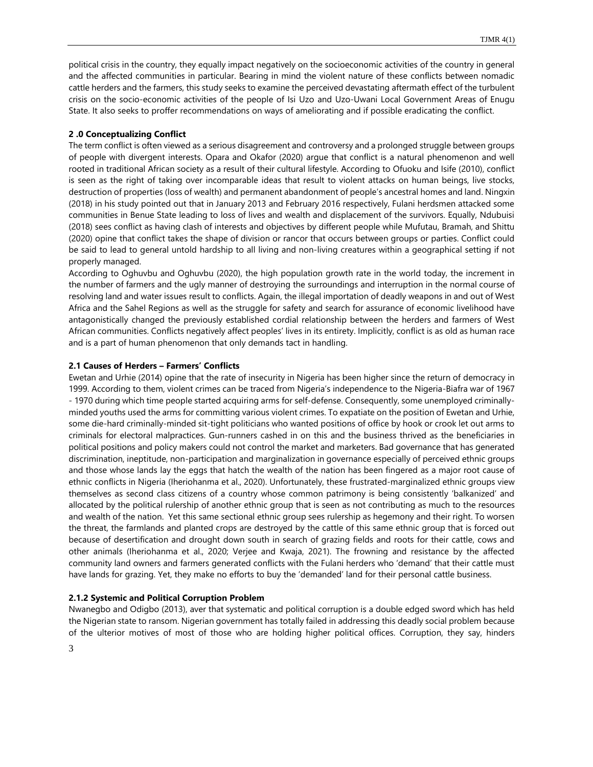political crisis in the country, they equally impact negatively on the socioeconomic activities of the country in general and the affected communities in particular. Bearing in mind the violent nature of these conflicts between nomadic cattle herders and the farmers, this study seeks to examine the perceived devastating aftermath effect of the turbulent crisis on the socio-economic activities of the people of Isi Uzo and Uzo-Uwani Local Government Areas of Enugu State. It also seeks to proffer recommendations on ways of ameliorating and if possible eradicating the conflict.

#### **2 .0 Conceptualizing Conflict**

The term conflict is often viewed as a serious disagreement and controversy and a prolonged struggle between groups of people with divergent interests. Opara and Okafor (2020) argue that conflict is a natural phenomenon and well rooted in traditional African society as a result of their cultural lifestyle. According to Ofuoku and Isife (2010), conflict is seen as the right of taking over incomparable ideas that result to violent attacks on human beings, live stocks, destruction of properties (loss of wealth) and permanent abandonment of people's ancestral homes and land. Ningxin (2018) in his study pointed out that in January 2013 and February 2016 respectively, Fulani herdsmen attacked some communities in Benue State leading to loss of lives and wealth and displacement of the survivors. Equally, Ndubuisi (2018) sees conflict as having clash of interests and objectives by different people while Mufutau, Bramah, and Shittu (2020) opine that conflict takes the shape of division or rancor that occurs between groups or parties. Conflict could be said to lead to general untold hardship to all living and non-living creatures within a geographical setting if not properly managed.

According to Oghuvbu and Oghuvbu (2020), the high population growth rate in the world today, the increment in the number of farmers and the ugly manner of destroying the surroundings and interruption in the normal course of resolving land and water issues result to conflicts. Again, the illegal importation of deadly weapons in and out of West Africa and the Sahel Regions as well as the struggle for safety and search for assurance of economic livelihood have antagonistically changed the previously established cordial relationship between the herders and farmers of West African communities. Conflicts negatively affect peoples' lives in its entirety. Implicitly, conflict is as old as human race and is a part of human phenomenon that only demands tact in handling.

#### **2.1 Causes of Herders – Farmers' Conflicts**

Ewetan and Urhie (2014) opine that the rate of insecurity in Nigeria has been higher since the return of democracy in 1999. According to them, violent crimes can be traced from Nigeria's independence to the Nigeria-Biafra war of 1967 - 1970 during which time people started acquiring arms for self-defense. Consequently, some unemployed criminallyminded youths used the arms for committing various violent crimes. To expatiate on the position of Ewetan and Urhie, some die-hard criminally-minded sit-tight politicians who wanted positions of office by hook or crook let out arms to criminals for electoral malpractices. Gun-runners cashed in on this and the business thrived as the beneficiaries in political positions and policy makers could not control the market and marketers. Bad governance that has generated discrimination, ineptitude, non-participation and marginalization in governance especially of perceived ethnic groups and those whose lands lay the eggs that hatch the wealth of the nation has been fingered as a major root cause of ethnic conflicts in Nigeria (Iheriohanma et al., 2020). Unfortunately, these frustrated-marginalized ethnic groups view themselves as second class citizens of a country whose common patrimony is being consistently 'balkanized' and allocated by the political rulership of another ethnic group that is seen as not contributing as much to the resources and wealth of the nation. Yet this same sectional ethnic group sees rulership as hegemony and their right. To worsen the threat, the farmlands and planted crops are destroyed by the cattle of this same ethnic group that is forced out because of desertification and drought down south in search of grazing fields and roots for their cattle, cows and other animals (Iheriohanma et al., 2020; Verjee and Kwaja, 2021). The frowning and resistance by the affected community land owners and farmers generated conflicts with the Fulani herders who 'demand' that their cattle must have lands for grazing. Yet, they make no efforts to buy the 'demanded' land for their personal cattle business.

#### **2.1.2 Systemic and Political Corruption Problem**

Nwanegbo and Odigbo (2013), aver that systematic and political corruption is a double edged sword which has held the Nigerian state to ransom. Nigerian government has totally failed in addressing this deadly social problem because of the ulterior motives of most of those who are holding higher political offices. Corruption, they say, hinders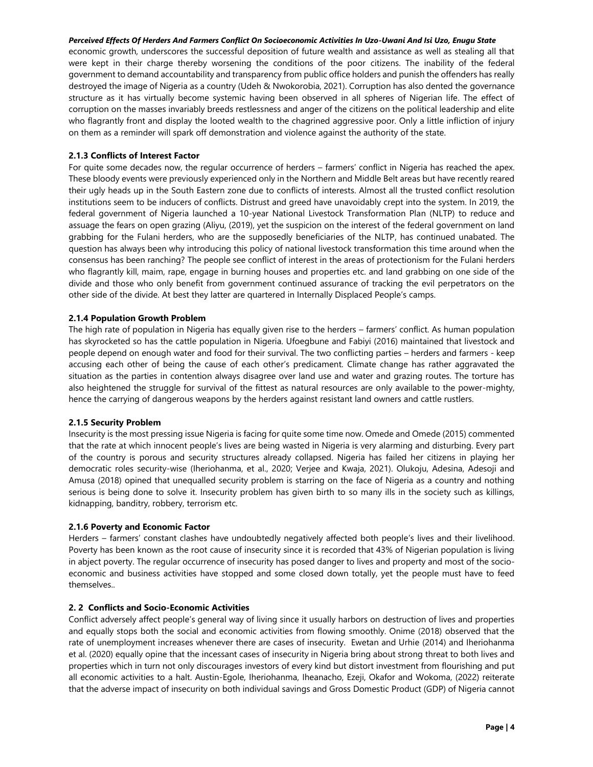economic growth, underscores the successful deposition of future wealth and assistance as well as stealing all that were kept in their charge thereby worsening the conditions of the poor citizens. The inability of the federal government to demand accountability and transparency from public office holders and punish the offenders has really destroyed the image of Nigeria as a country (Udeh & Nwokorobia, 2021). Corruption has also dented the governance structure as it has virtually become systemic having been observed in all spheres of Nigerian life. The effect of corruption on the masses invariably breeds restlessness and anger of the citizens on the political leadership and elite who flagrantly front and display the looted wealth to the chagrined aggressive poor. Only a little infliction of injury on them as a reminder will spark off demonstration and violence against the authority of the state.

## **2.1.3 Conflicts of Interest Factor**

For quite some decades now, the regular occurrence of herders – farmers' conflict in Nigeria has reached the apex. These bloody events were previously experienced only in the Northern and Middle Belt areas but have recently reared their ugly heads up in the South Eastern zone due to conflicts of interests. Almost all the trusted conflict resolution institutions seem to be inducers of conflicts. Distrust and greed have unavoidably crept into the system. In 2019, the federal government of Nigeria launched a 10-year National Livestock Transformation Plan (NLTP) to reduce and assuage the fears on open grazing (Aliyu, (2019), yet the suspicion on the interest of the federal government on land grabbing for the Fulani herders, who are the supposedly beneficiaries of the NLTP, has continued unabated. The question has always been why introducing this policy of national livestock transformation this time around when the consensus has been ranching? The people see conflict of interest in the areas of protectionism for the Fulani herders who flagrantly kill, maim, rape, engage in burning houses and properties etc. and land grabbing on one side of the divide and those who only benefit from government continued assurance of tracking the evil perpetrators on the other side of the divide. At best they latter are quartered in Internally Displaced People's camps.

# **2.1.4 Population Growth Problem**

The high rate of population in Nigeria has equally given rise to the herders – farmers' conflict. As human population has skyrocketed so has the cattle population in Nigeria. Ufoegbune and Fabiyi (2016) maintained that livestock and people depend on enough water and food for their survival. The two conflicting parties – herders and farmers - keep accusing each other of being the cause of each other's predicament. Climate change has rather aggravated the situation as the parties in contention always disagree over land use and water and grazing routes. The torture has also heightened the struggle for survival of the fittest as natural resources are only available to the power-mighty, hence the carrying of dangerous weapons by the herders against resistant land owners and cattle rustlers.

## **2.1.5 Security Problem**

Insecurity is the most pressing issue Nigeria is facing for quite some time now. Omede and Omede (2015) commented that the rate at which innocent people's lives are being wasted in Nigeria is very alarming and disturbing. Every part of the country is porous and security structures already collapsed. Nigeria has failed her citizens in playing her democratic roles security-wise (Iheriohanma, et al., 2020; Verjee and Kwaja, 2021). Olukoju, Adesina, Adesoji and Amusa (2018) opined that unequalled security problem is starring on the face of Nigeria as a country and nothing serious is being done to solve it. Insecurity problem has given birth to so many ills in the society such as killings, kidnapping, banditry, robbery, terrorism etc.

## **2.1.6 Poverty and Economic Factor**

Herders – farmers' constant clashes have undoubtedly negatively affected both people's lives and their livelihood. Poverty has been known as the root cause of insecurity since it is recorded that 43% of Nigerian population is living in abject poverty. The regular occurrence of insecurity has posed danger to lives and property and most of the socioeconomic and business activities have stopped and some closed down totally, yet the people must have to feed themselves..

## **2. 2 Conflicts and Socio-Economic Activities**

Conflict adversely affect people's general way of living since it usually harbors on destruction of lives and properties and equally stops both the social and economic activities from flowing smoothly. Onime (2018) observed that the rate of unemployment increases whenever there are cases of insecurity. Ewetan and Urhie (2014) and Iheriohanma et al. (2020) equally opine that the incessant cases of insecurity in Nigeria bring about strong threat to both lives and properties which in turn not only discourages investors of every kind but distort investment from flourishing and put all economic activities to a halt. Austin-Egole, Iheriohanma, Iheanacho, Ezeji, Okafor and Wokoma, (2022) reiterate that the adverse impact of insecurity on both individual savings and Gross Domestic Product (GDP) of Nigeria cannot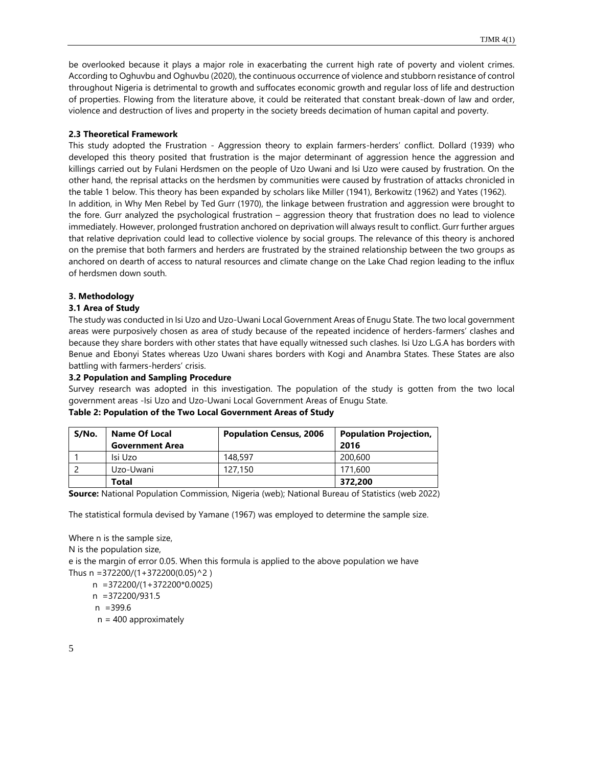be overlooked because it plays a major role in exacerbating the current high rate of poverty and violent crimes. According to Oghuvbu and Oghuvbu (2020), the continuous occurrence of violence and stubborn resistance of control throughout Nigeria is detrimental to growth and suffocates economic growth and regular loss of life and destruction of properties. Flowing from the literature above, it could be reiterated that constant break-down of law and order, violence and destruction of lives and property in the society breeds decimation of human capital and poverty.

## **2.3 Theoretical Framework**

This study adopted the Frustration - Aggression theory to explain farmers-herders' conflict. Dollard (1939) who developed this theory posited that frustration is the major determinant of aggression hence the aggression and killings carried out by Fulani Herdsmen on the people of Uzo Uwani and Isi Uzo were caused by frustration. On the other hand, the reprisal attacks on the herdsmen by communities were caused by frustration of attacks chronicled in the table 1 below. This theory has been expanded by scholars like Miller (1941), Berkowitz (1962) and Yates (1962). In addition, in Why Men Rebel by Ted Gurr (1970), the linkage between frustration and aggression were brought to the fore. Gurr analyzed the psychological frustration – aggression theory that frustration does no lead to violence immediately. However, prolonged frustration anchored on deprivation will always result to conflict. Gurr further argues that relative deprivation could lead to collective violence by social groups. The relevance of this theory is anchored on the premise that both farmers and herders are frustrated by the strained relationship between the two groups as anchored on dearth of access to natural resources and climate change on the Lake Chad region leading to the influx of herdsmen down south.

# **3. Methodology**

# **3.1 Area of Study**

The study was conducted in Isi Uzo and Uzo-Uwani Local Government Areas of Enugu State. The two local government areas were purposively chosen as area of study because of the repeated incidence of herders-farmers' clashes and because they share borders with other states that have equally witnessed such clashes. Isi Uzo L.G.A has borders with Benue and Ebonyi States whereas Uzo Uwani shares borders with Kogi and Anambra States. These States are also battling with farmers-herders' crisis.

## **3.2 Population and Sampling Procedure**

Survey research was adopted in this investigation. The population of the study is gotten from the two local government areas -Isi Uzo and Uzo-Uwani Local Government Areas of Enugu State.

| S/No. | <b>Name Of Local</b>   | <b>Population Census, 2006</b> | <b>Population Projection,</b> |  |
|-------|------------------------|--------------------------------|-------------------------------|--|
|       | <b>Government Area</b> |                                | 2016                          |  |
|       | Isi Uzo                | 148,597                        | 200,600                       |  |
|       | Uzo-Uwani              | 127.150                        | 171,600                       |  |
|       | Total                  |                                | 372,200                       |  |

# **Table 2: Population of the Two Local Government Areas of Study**

**Source:** National Population Commission, Nigeria (web); National Bureau of Statistics (web 2022)

The statistical formula devised by Yamane (1967) was employed to determine the sample size.

Where n is the sample size, N is the population size, e is the margin of error 0.05. When this formula is applied to the above population we have Thus n = 372200/(1+372200(0.05)^2 ) n =372200/(1+372200\*0.0025) n =372200/931.5 n =399.6

 $n = 400$  approximately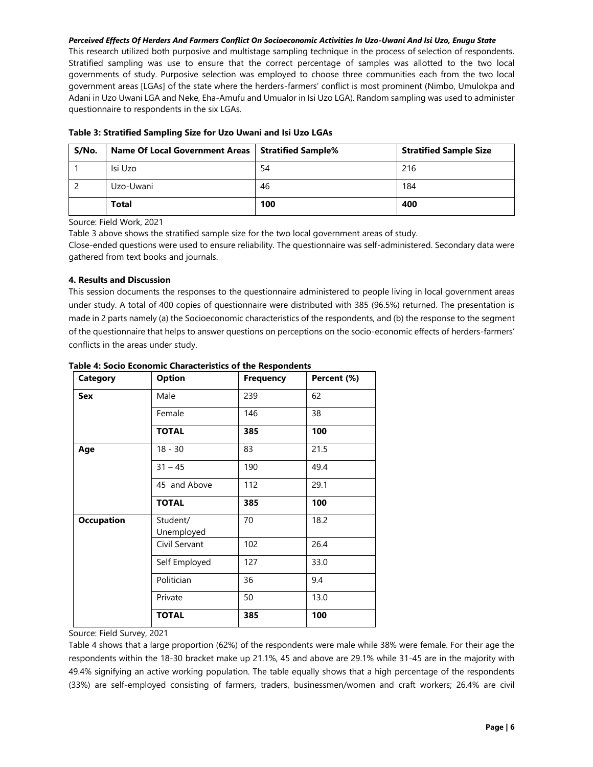This research utilized both purposive and multistage sampling technique in the process of selection of respondents. Stratified sampling was use to ensure that the correct percentage of samples was allotted to the two local governments of study. Purposive selection was employed to choose three communities each from the two local government areas [LGAs] of the state where the herders-farmers' conflict is most prominent (Nimbo, Umulokpa and Adani in Uzo Uwani LGA and Neke, Eha-Amufu and Umualor in Isi Uzo LGA). Random sampling was used to administer questionnaire to respondents in the six LGAs.

| S/No. | Name Of Local Government Areas   Stratified Sample% |     | <b>Stratified Sample Size</b> |
|-------|-----------------------------------------------------|-----|-------------------------------|
|       | Isi Uzo                                             | 54  | 216                           |
|       | Uzo-Uwani                                           | 46  | 184                           |
|       | Total                                               | 100 | 400                           |

## **Table 3: Stratified Sampling Size for Uzo Uwani and Isi Uzo LGAs**

Source: Field Work, 2021

Table 3 above shows the stratified sample size for the two local government areas of study.

Close-ended questions were used to ensure reliability. The questionnaire was self-administered. Secondary data were gathered from text books and journals.

## **4. Results and Discussion**

This session documents the responses to the questionnaire administered to people living in local government areas under study. A total of 400 copies of questionnaire were distributed with 385 (96.5%) returned. The presentation is made in 2 parts namely (a) the Socioeconomic characteristics of the respondents, and (b) the response to the segment of the questionnaire that helps to answer questions on perceptions on the socio-economic effects of herders-farmers' conflicts in the areas under study.

| <b>Category</b>   | <b>Option</b>          | <b>Frequency</b> | Percent (%) |
|-------------------|------------------------|------------------|-------------|
| <b>Sex</b>        | Male                   | 239              | 62          |
|                   | Female                 | 146              | 38          |
|                   | <b>TOTAL</b>           | 385              | 100         |
| Age               | $18 - 30$              | 83               | 21.5        |
|                   | $31 - 45$              | 190              | 49.4        |
|                   | 45 and Above           | 112              | 29.1        |
|                   | <b>TOTAL</b>           | 385              | 100         |
| <b>Occupation</b> | Student/<br>Unemployed | 70               | 18.2        |
|                   | Civil Servant          | 102              | 26.4        |
|                   | Self Employed          | 127              | 33.0        |
|                   | Politician             | 36               | 9.4         |
|                   | Private                | 50               | 13.0        |
|                   | <b>TOTAL</b>           | 385              | 100         |

**Table 4: Socio Economic Characteristics of the Respondents**

Source: Field Survey, 2021

Table 4 shows that a large proportion (62%) of the respondents were male while 38% were female. For their age the respondents within the 18-30 bracket make up 21.1%, 45 and above are 29.1% while 31-45 are in the majority with 49.4% signifying an active working population. The table equally shows that a high percentage of the respondents (33%) are self-employed consisting of farmers, traders, businessmen/women and craft workers; 26.4% are civil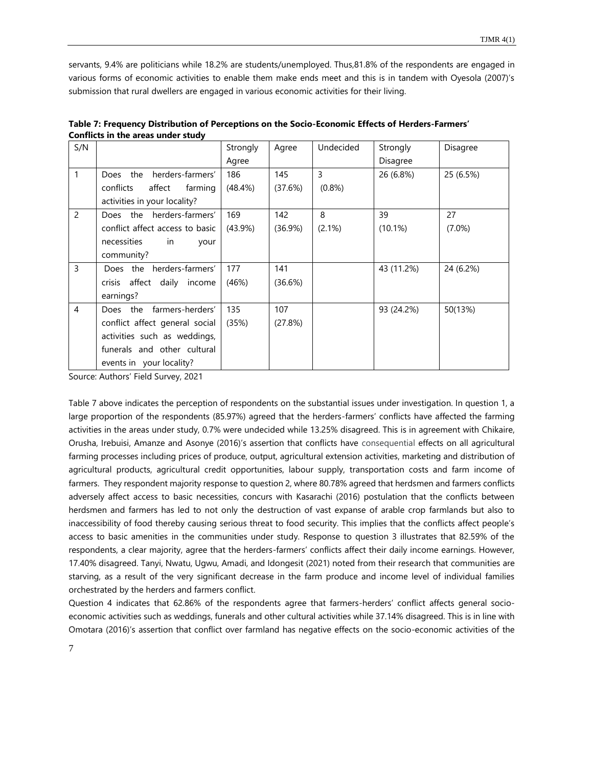servants, 9.4% are politicians while 18.2% are students/unemployed. Thus,81.8% of the respondents are engaged in various forms of economic activities to enable them make ends meet and this is in tandem with Oyesola (2007)'s submission that rural dwellers are engaged in various economic activities for their living.

| S/N            |                                        | Strongly   | Agree      | Undecided | Strongly   | Disagree  |
|----------------|----------------------------------------|------------|------------|-----------|------------|-----------|
|                |                                        | Agree      |            |           | Disagree   |           |
| 1              | herders-farmers'<br>the<br><b>Does</b> | 186        | 145        | 3         | 26 (6.8%)  | 25 (6.5%) |
|                | conflicts<br>affect<br>farming         | $(48.4\%)$ | (37.6%)    | (0.8% )   |            |           |
|                | activities in your locality?           |            |            |           |            |           |
| $\overline{2}$ | herders-farmers'<br>Does the           | 169        | 142        | 8         | 39         | 27        |
|                | conflict affect access to basic        | $(43.9\%)$ | $(36.9\%)$ | (2.1%)    | $(10.1\%)$ | $(7.0\%)$ |
|                | necessities<br>in<br>your              |            |            |           |            |           |
|                | community?                             |            |            |           |            |           |
| 3              | Does the<br>herders-farmers'           | 177        | 141        |           | 43 (11.2%) | 24 (6.2%) |
|                | affect daily income<br>crisis          | (46%)      | (36.6%)    |           |            |           |
|                | earnings?                              |            |            |           |            |           |
| 4              | farmers-herders'<br>Does the           | 135        | 107        |           | 93 (24.2%) | 50(13%)   |
|                | conflict affect general social         | (35%)      | (27.8%)    |           |            |           |
|                | activities such as weddings,           |            |            |           |            |           |
|                | funerals and other cultural            |            |            |           |            |           |
|                | events in your locality?               |            |            |           |            |           |

**Table 7: Frequency Distribution of Perceptions on the Socio-Economic Effects of Herders-Farmers' Conflicts in the areas under study** 

Source: Authors' Field Survey, 2021

Table 7 above indicates the perception of respondents on the substantial issues under investigation. In question 1, a large proportion of the respondents (85.97%) agreed that the herders-farmers' conflicts have affected the farming activities in the areas under study, 0.7% were undecided while 13.25% disagreed. This is in agreement with Chikaire, Orusha, Irebuisi, Amanze and Asonye (2016)'s assertion that conflicts have consequential effects on all agricultural farming processes including prices of produce, output, agricultural extension activities, marketing and distribution of agricultural products, agricultural credit opportunities, labour supply, transportation costs and farm income of farmers. They respondent majority response to question 2, where 80.78% agreed that herdsmen and farmers conflicts adversely affect access to basic necessities, concurs with Kasarachi (2016) postulation that the conflicts between herdsmen and farmers has led to not only the destruction of vast expanse of arable crop farmlands but also to inaccessibility of food thereby causing serious threat to food security. This implies that the conflicts affect people's access to basic amenities in the communities under study. Response to question 3 illustrates that 82.59% of the respondents, a clear majority, agree that the herders-farmers' conflicts affect their daily income earnings. However, 17.40% disagreed. Tanyi, Nwatu, Ugwu, Amadi, and Idongesit (2021) noted from their research that communities are starving, as a result of the very significant decrease in the farm produce and income level of individual families orchestrated by the herders and farmers conflict.

Question 4 indicates that 62.86% of the respondents agree that farmers-herders' conflict affects general socioeconomic activities such as weddings, funerals and other cultural activities while 37.14% disagreed. This is in line with Omotara (2016)'s assertion that conflict over farmland has negative effects on the socio-economic activities of the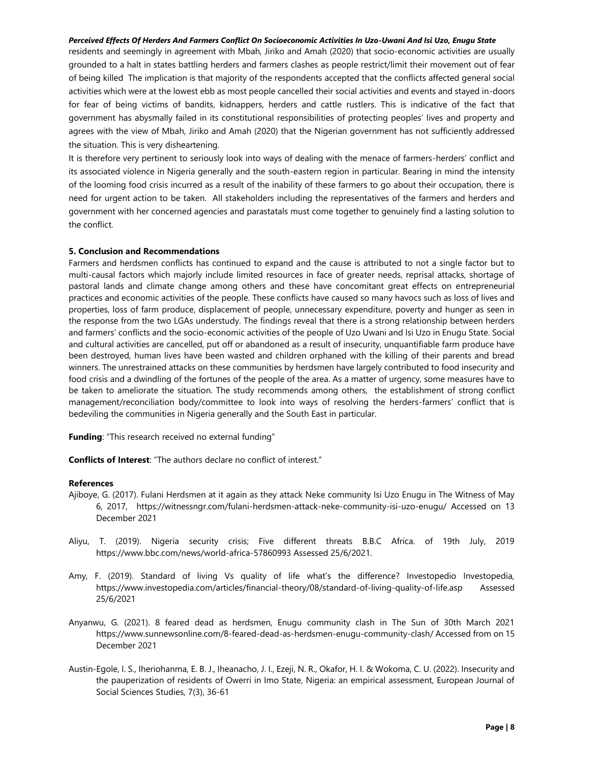residents and seemingly in agreement with Mbah, Jiriko and Amah (2020) that socio-economic activities are usually grounded to a halt in states battling herders and farmers clashes as people restrict/limit their movement out of fear of being killed The implication is that majority of the respondents accepted that the conflicts affected general social activities which were at the lowest ebb as most people cancelled their social activities and events and stayed in-doors for fear of being victims of bandits, kidnappers, herders and cattle rustlers. This is indicative of the fact that government has abysmally failed in its constitutional responsibilities of protecting peoples' lives and property and agrees with the view of Mbah, Jiriko and Amah (2020) that the Nigerian government has not sufficiently addressed the situation. This is very disheartening.

It is therefore very pertinent to seriously look into ways of dealing with the menace of farmers-herders' conflict and its associated violence in Nigeria generally and the south-eastern region in particular. Bearing in mind the intensity of the looming food crisis incurred as a result of the inability of these farmers to go about their occupation, there is need for urgent action to be taken. All stakeholders including the representatives of the farmers and herders and government with her concerned agencies and parastatals must come together to genuinely find a lasting solution to the conflict.

#### **5. Conclusion and Recommendations**

Farmers and herdsmen conflicts has continued to expand and the cause is attributed to not a single factor but to multi-causal factors which majorly include limited resources in face of greater needs, reprisal attacks, shortage of pastoral lands and climate change among others and these have concomitant great effects on entrepreneurial practices and economic activities of the people. These conflicts have caused so many havocs such as loss of lives and properties, loss of farm produce, displacement of people, unnecessary expenditure, poverty and hunger as seen in the response from the two LGAs understudy. The findings reveal that there is a strong relationship between herders and farmers' conflicts and the socio-economic activities of the people of Uzo Uwani and Isi Uzo in Enugu State. Social and cultural activities are cancelled, put off or abandoned as a result of insecurity, unquantifiable farm produce have been destroyed, human lives have been wasted and children orphaned with the killing of their parents and bread winners. The unrestrained attacks on these communities by herdsmen have largely contributed to food insecurity and food crisis and a dwindling of the fortunes of the people of the area. As a matter of urgency, some measures have to be taken to ameliorate the situation. The study recommends among others, the establishment of strong conflict management/reconciliation body/committee to look into ways of resolving the herders-farmers' conflict that is bedeviling the communities in Nigeria generally and the South East in particular.

**Funding**: "This research received no external funding"

**Conflicts of Interest**: "The authors declare no conflict of interest."

#### **References**

- Ajiboye, G. (2017). Fulani Herdsmen at it again as they attack Neke community Isi Uzo Enugu in The Witness of May 6, 2017, https://witnessngr.com/fulani-herdsmen-attack-neke-community-isi-uzo-enugu/ Accessed on 13 December 2021
- Aliyu, T. (2019). Nigeria security crisis; Five different threats B.B.C Africa. of 19th July, 2019 https://www.bbc.com/news/world-africa-57860993 Assessed 25/6/2021.
- Amy, F. (2019). Standard of living Vs quality of life what's the difference? Investopedio Investopedia, https://www.investopedia.com/articles/financial-theory/08/standard-of-living-quality-of-life.asp Assessed 25/6/2021
- Anyanwu, G. (2021). 8 feared dead as herdsmen, Enugu community clash in The Sun of 30th March 2021 https://www.sunnewsonline.com/8-feared-dead-as-herdsmen-enugu-community-clash/ Accessed from on 15 December 2021
- Austin-Egole, I. S., Iheriohanma, E. B. J., Iheanacho, J. I., Ezeji, N. R., Okafor, H. I. & Wokoma, C. U. (2022). Insecurity and the pauperization of residents of Owerri in Imo State, Nigeria: an empirical assessment, European Journal of Social Sciences Studies, 7(3), 36-61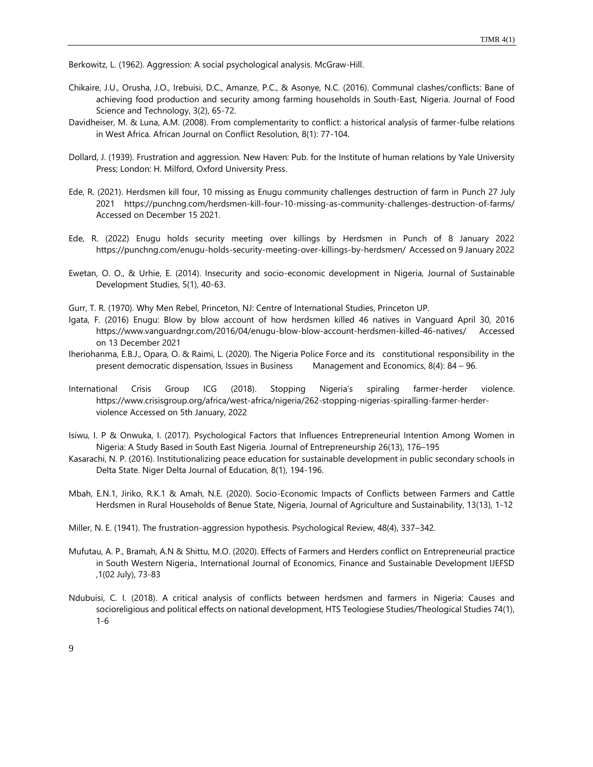Berkowitz, L. (1962). Aggression: A social psychological analysis. McGraw-Hill.

- Chikaire, J.U., Orusha, J.O., Irebuisi, D.C., Amanze, P.C., & Asonye, N.C. (2016). Communal clashes/conflicts: Bane of achieving food production and security among farming households in South-East, Nigeria. Journal of Food Science and Technology, 3(2), 65-72.
- Davidheiser, M. & Luna, A.M. (2008). From complementarity to conflict: a historical analysis of farmer-fulbe relations in West Africa. African Journal on Conflict Resolution, 8(1): 77-104.
- Dollard, J. (1939). Frustration and aggression. New Haven: Pub. for the Institute of human relations by Yale University Press; London: H. Milford, Oxford University Press.
- Ede, R. (2021). Herdsmen kill four, 10 missing as Enugu community challenges destruction of farm in Punch 27 July 2021 https://punchng.com/herdsmen-kill-four-10-missing-as-community-challenges-destruction-of-farms/ Accessed on December 15 2021.
- Ede, R. (2022) Enugu holds security meeting over killings by Herdsmen in Punch of 8 January 2022 https://punchng.com/enugu-holds-security-meeting-over-killings-by-herdsmen/ Accessed on 9 January 2022
- Ewetan, O. O., & Urhie, E. (2014). Insecurity and socio-economic development in Nigeria, Journal of Sustainable Development Studies, 5(1), 40-63.
- Gurr, T. R. (1970). Why Men Rebel, Princeton, NJ: Centre of International Studies, Princeton UP.
- Igata, F. (2016) Enugu: Blow by blow account of how herdsmen killed 46 natives in Vanguard April 30, 2016 https://www.vanguardngr.com/2016/04/enugu-blow-blow-account-herdsmen-killed-46-natives/ Accessed on 13 December 2021
- Iheriohanma, E.B.J., Opara, O. & Raimi, L. (2020). The Nigeria Police Force and its constitutional responsibility in the present democratic dispensation, Issues in Business Management and Economics, 8(4): 84 – 96.
- International Crisis Group ICG (2018). Stopping Nigeria's spiraling farmer-herder violence. https://www.crisisgroup.org/africa/west-africa/nigeria/262-stopping-nigerias-spiralling-farmer-herderviolence Accessed on 5th January, 2022
- Isiwu, I. P & Onwuka, I. (2017). Psychological Factors that Influences Entrepreneurial Intention Among Women in Nigeria: A Study Based in South East Nigeria. Journal of Entrepreneurship 26(13), 176–195
- Kasarachi, N. P. (2016). Institutionalizing peace education for sustainable development in public secondary schools in Delta State. Niger Delta Journal of Education, 8(1), 194-196.
- Mbah, E.N.1, Jiriko, R.K.1 & Amah, N.E. (2020). Socio-Economic Impacts of Conflicts between Farmers and Cattle Herdsmen in Rural Households of Benue State, Nigeria, Journal of Agriculture and Sustainability, 13(13), 1-12
- Miller, N. E. (1941). The frustration-aggression hypothesis. Psychological Review, 48(4), 337–342.
- Mufutau, A. P., Bramah, A.N & Shittu, M.O. (2020). Effects of Farmers and Herders conflict on Entrepreneurial practice in South Western Nigeria., International Journal of Economics, Finance and Sustainable Development IJEFSD ,1(02 July), 73-83
- Ndubuisi, C. I. (2018). A critical analysis of conflicts between herdsmen and farmers in Nigeria: Causes and socioreligious and political effects on national development, HTS Teologiese Studies/Theological Studies 74(1), 1-6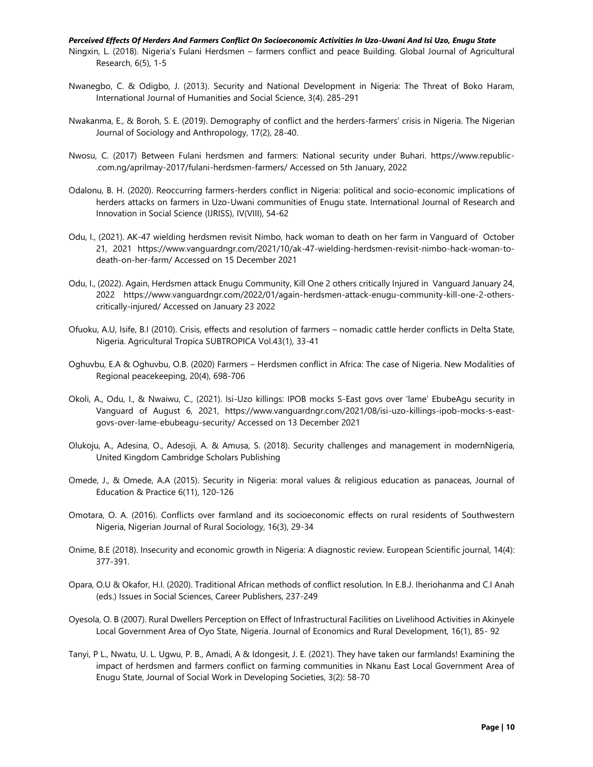- Ningxin, L. (2018). Nigeria's Fulani Herdsmen farmers conflict and peace Building. Global Journal of Agricultural Research, 6(5), 1-5
- Nwanegbo, C. & Odigbo, J. (2013). Security and National Development in Nigeria: The Threat of Boko Haram, International Journal of Humanities and Social Science, 3(4). 285-291
- Nwakanma, E., & Boroh, S. E. (2019). Demography of conflict and the herders-farmers' crisis in Nigeria. The Nigerian Journal of Sociology and Anthropology, 17(2), 28-40.
- Nwosu, C. (2017) Between Fulani herdsmen and farmers: National security under Buhari. https://www.republic- .com.ng/aprilmay-2017/fulani-herdsmen-farmers/ Accessed on 5th January, 2022
- Odalonu, B. H. (2020). Reoccurring farmers-herders conflict in Nigeria: political and socio-economic implications of herders attacks on farmers in Uzo-Uwani communities of Enugu state. International Journal of Research and Innovation in Social Science (IJRISS), IV(VIII), 54-62
- Odu, I., (2021). AK-47 wielding herdsmen revisit Nimbo, hack woman to death on her farm in Vanguard of October 21, 2021 https://www.vanguardngr.com/2021/10/ak-47-wielding-herdsmen-revisit-nimbo-hack-woman-todeath-on-her-farm/ Accessed on 15 December 2021
- Odu, I., (2022). Again, Herdsmen attack Enugu Community, Kill One 2 others critically Injured in Vanguard January 24, 2022 https://www.vanguardngr.com/2022/01/again-herdsmen-attack-enugu-community-kill-one-2-otherscritically-injured/ Accessed on January 23 2022
- Ofuoku, A.U, Isife, B.I (2010). Crisis, effects and resolution of farmers nomadic cattle herder conflicts in Delta State, Nigeria. Agricultural Tropica SUBTROPICA Vol.43(1), 33-41
- Oghuvbu, E.A & Oghuvbu, O.B. (2020) Farmers Herdsmen conflict in Africa: The case of Nigeria. New Modalities of Regional peacekeeping, 20(4), 698-706
- Okoli, A., Odu, I., & Nwaiwu, C., (2021). Isi-Uzo killings: IPOB mocks S-East govs over 'lame' EbubeAgu security in Vanguard of August 6, 2021, https://www.vanguardngr.com/2021/08/isi-uzo-killings-ipob-mocks-s-eastgovs-over-lame-ebubeagu-security/ Accessed on 13 December 2021
- Olukoju, A., Adesina, O., Adesoji, A. & Amusa, S. (2018). Security challenges and management in modernNigeria, United Kingdom Cambridge Scholars Publishing
- Omede, J., & Omede, A.A (2015). Security in Nigeria: moral values & religious education as panaceas, Journal of Education & Practice 6(11), 120-126
- Omotara, O. A. (2016). Conflicts over farmland and its socioeconomic effects on rural residents of Southwestern Nigeria, Nigerian Journal of Rural Sociology, 16(3), 29-34
- Onime, B.E (2018). Insecurity and economic growth in Nigeria: A diagnostic review. European Scientific journal, 14(4): 377-391.
- Opara, O.U & Okafor, H.I. (2020). Traditional African methods of conflict resolution. In E.B.J. Iheriohanma and C.I Anah (eds.) Issues in Social Sciences, Career Publishers, 237-249
- Oyesola, O. B (2007). Rural Dwellers Perception on Effect of Infrastructural Facilities on Livelihood Activities in Akinyele Local Government Area of Oyo State, Nigeria. Journal of Economics and Rural Development, 16(1), 85- 92
- Tanyi, P L., Nwatu, U. L. Ugwu, P. B., Amadi, A & Idongesit, J. E. (2021). They have taken our farmlands! Examining the impact of herdsmen and farmers conflict on farming communities in Nkanu East Local Government Area of Enugu State, Journal of Social Work in Developing Societies, 3(2): 58-70